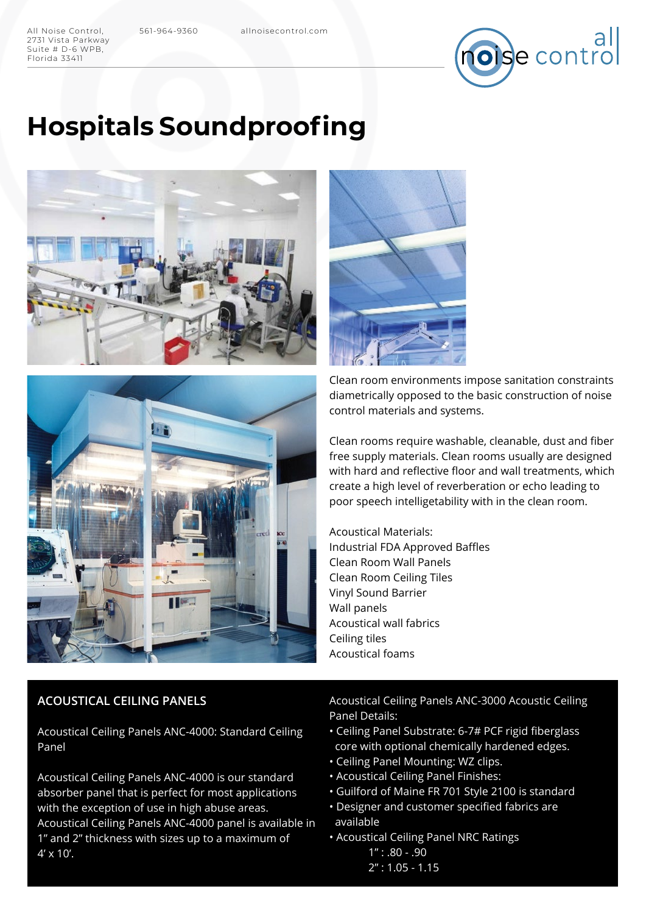2731 Vista Parkway Suite # D-6 WPB, Florida 33411



# **Hospitals Soundproofing**







Clean room environments impose sanitation constraints diametrically opposed to the basic construction of noise control materials and systems.

Clean rooms require washable, cleanable, dust and fiber free supply materials. Clean rooms usually are designed with hard and reflective floor and wall treatments, which create a high level of reverberation or echo leading to poor speech intelligetability with in the clean room.

Acoustical Materials: Industrial FDA Approved Baffles Clean Room Wall Panels Clean Room Ceiling Tiles Vinyl Sound Barrier Wall panels Acoustical wall fabrics Ceiling tiles Acoustical foams

## **ACOUSTICAL CEILING PANELS**

Acoustical Ceiling Panels ANC-4000: Standard Ceiling Panel

Acoustical Ceiling Panels ANC-4000 is our standard absorber panel that is perfect for most applications with the exception of use in high abuse areas. Acoustical Ceiling Panels ANC-4000 panel is available in 1" and 2" thickness with sizes up to a maximum of  $4' \times 10'$ .

Acoustical Ceiling Panels ANC-3000 Acoustic Ceiling Panel Details:

- Ceiling Panel Substrate: 6-7# PCF rigid fiberglass core with optional chemically hardened edges.
- Ceiling Panel Mounting: WZ clips.
- Acoustical Ceiling Panel Finishes:
- Guilford of Maine FR 701 Style 2100 is standard
- Designer and customer specified fabrics are available
- Acoustical Ceiling Panel NRC Ratings
	- $1"$ : .80 .90
	- 2" : 1.05 1.15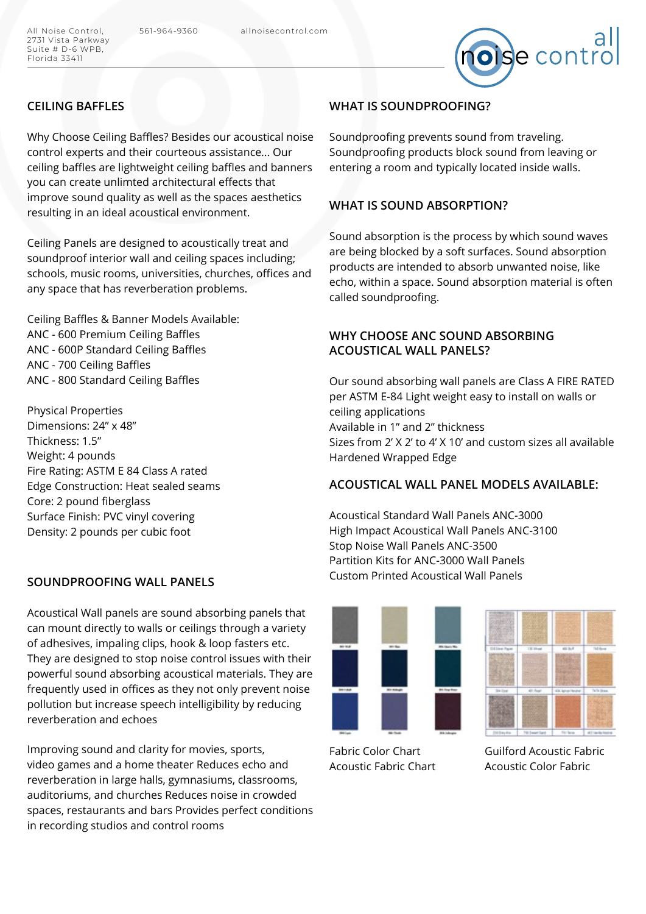

## **CEILING BAFFLES**

Why Choose Ceiling Baffles? Besides our acoustical noise control experts and their courteous assistance... Our ceiling baffles are lightweight ceiling baffles and banners you can create unlimted architectural effects that improve sound quality as well as the spaces aesthetics resulting in an ideal acoustical environment.

Ceiling Panels are designed to acoustically treat and soundproof interior wall and ceiling spaces including; schools, music rooms, universities, churches, offices and any space that has reverberation problems.

Ceiling Baffles & Banner Models Available: ANC - 600 Premium Ceiling Baffles ANC - 600P Standard Ceiling Baffles ANC - 700 Ceiling Baffles ANC - 800 Standard Ceiling Baffles

Physical Properties Dimensions: 24" x 48" Thickness: 1.5" Weight: 4 pounds Fire Rating: ASTM E 84 Class A rated Edge Construction: Heat sealed seams Core: 2 pound fiberglass Surface Finish: PVC vinyl covering Density: 2 pounds per cubic foot

#### **SOUNDPROOFING WALL PANELS**

Acoustical Wall panels are sound absorbing panels that can mount directly to walls or ceilings through a variety of adhesives, impaling clips, hook & loop fasters etc. They are designed to stop noise control issues with their powerful sound absorbing acoustical materials. They are frequently used in offices as they not only prevent noise pollution but increase speech intelligibility by reducing reverberation and echoes

Improving sound and clarity for movies, sports, video games and a home theater Reduces echo and reverberation in large halls, gymnasiums, classrooms, auditoriums, and churches Reduces noise in crowded spaces, restaurants and bars Provides perfect conditions in recording studios and control rooms

## **WHAT IS SOUNDPROOFING?**

Soundproofing prevents sound from traveling. Soundproofing products block sound from leaving or entering a room and typically located inside walls.

## **WHAT IS SOUND ABSORPTION?**

Sound absorption is the process by which sound waves are being blocked by a soft surfaces. Sound absorption products are intended to absorb unwanted noise, like echo, within a space. Sound absorption material is often called soundproofing.

## **WHY CHOOSE ANC SOUND ABSORBING ACOUSTICAL WALL PANELS?**

Our sound absorbing wall panels are Class A FIRE RATED per ASTM E-84 Light weight easy to install on walls or ceiling applications Available in 1" and 2" thickness Sizes from 2' X 2' to 4' X 10' and custom sizes all available Hardened Wrapped Edge

## **ACOUSTICAL WALL PANEL MODELS AVAILABLE:**

Acoustical Standard Wall Panels ANC-3000 High Impact Acoustical Wall Panels ANC-3100 Stop Noise Wall Panels ANC-3500 Partition Kits for ANC-3000 Wall Panels Custom Printed Acoustical Wall Panels





Fabric Color Chart Acoustic Fabric Chart

Guilford Acoustic Fabric Acoustic Color Fabric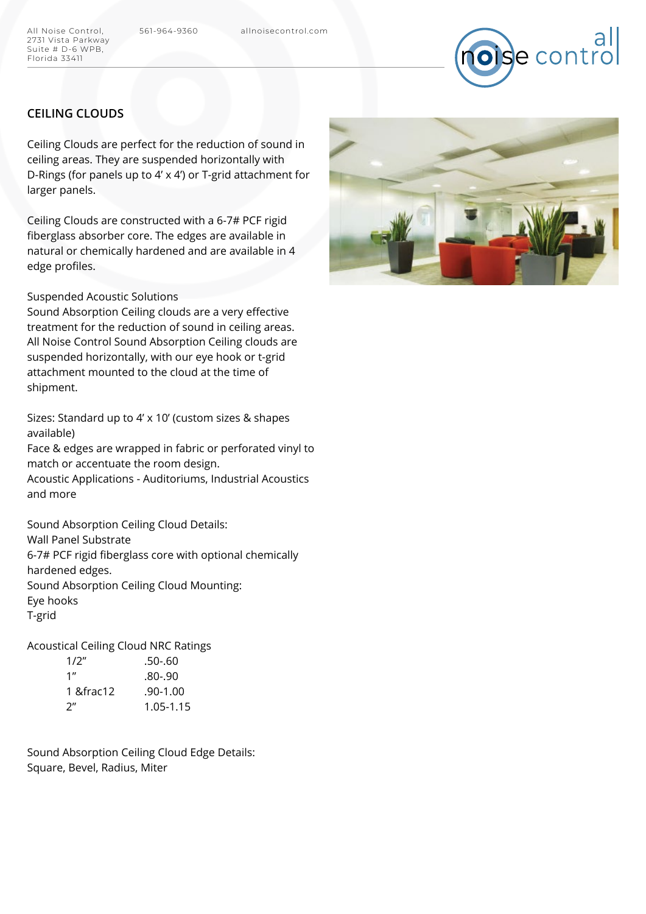All Noise Control, 561-964-9360 allnoisecontrol.com



## **CEILING CLOUDS**

Ceiling Clouds are perfect for the reduction of sound in ceiling areas. They are suspended horizontally with D-Rings (for panels up to 4' x 4') or T-grid attachment for larger panels.

Ceiling Clouds are constructed with a 6-7# PCF rigid fiberglass absorber core. The edges are available in natural or chemically hardened and are available in 4 edge profiles.

#### Suspended Acoustic Solutions

Sound Absorption Ceiling clouds are a very effective treatment for the reduction of sound in ceiling areas. All Noise Control Sound Absorption Ceiling clouds are suspended horizontally, with our eye hook or t-grid attachment mounted to the cloud at the time of shipment.

Sizes: Standard up to 4' x 10' (custom sizes & shapes available)

Face & edges are wrapped in fabric or perforated vinyl to match or accentuate the room design. Acoustic Applications - Auditoriums, Industrial Acoustics

and more

Sound Absorption Ceiling Cloud Details: Wall Panel Substrate 6-7# PCF rigid fiberglass core with optional chemically hardened edges. Sound Absorption Ceiling Cloud Mounting:

Eye hooks

T-grid

Acoustical Ceiling Cloud NRC Ratings

| 1/2" | .50-.60      |
|------|--------------|
| 1"   | .80-.90      |
| 1 ½  | $.90 - 1.00$ |
| ን"   | 1.05-1.15    |

Sound Absorption Ceiling Cloud Edge Details: Square, Bevel, Radius, Miter

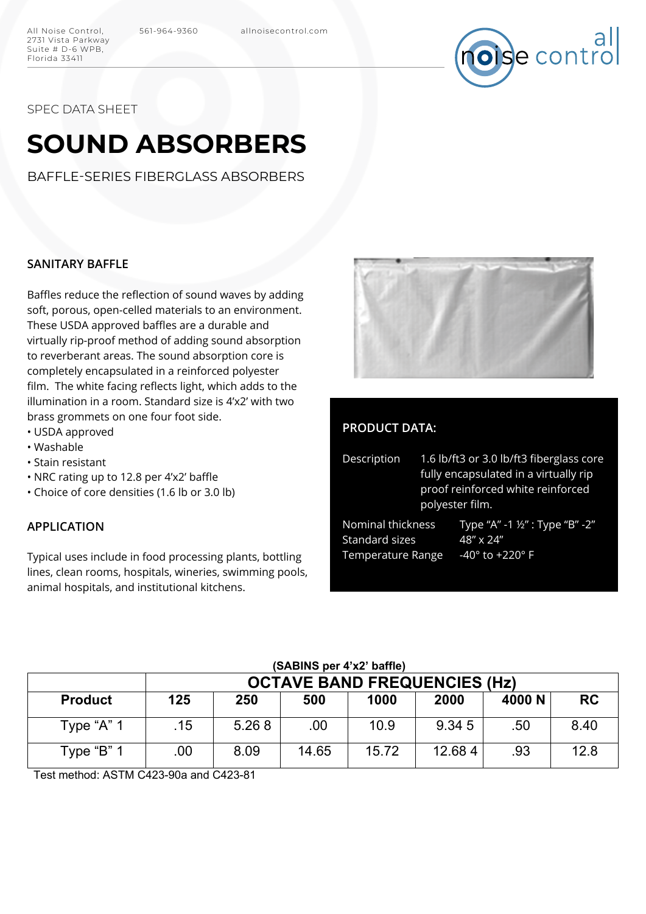

SPEC DATA SHEET

2731 Vista Parkway Suite # D-6 WPB, Florida 33411

# **SOUND ABSORBERS**

BAFFLE-SERIES FIBERGLASS ABSORBERS

#### **SANITARY BAFFLE**

Baffles reduce the reflection of sound waves by adding soft, porous, open-celled materials to an environment. These USDA approved baffles are a durable and virtually rip-proof method of adding sound absorption to reverberant areas. The sound absorption core is completely encapsulated in a reinforced polyester film. The white facing reflects light, which adds to the illumination in a room. Standard size is 4'x2' with two brass grommets on one four foot side.

- USDA approved
- Washable
- Stain resistant
- NRC rating up to 12.8 per 4'x2' baffle
- Choice of core densities (1.6 lb or 3.0 lb)

#### **APPLICATION**

Typical uses include in food processing plants, bottling lines, clean rooms, hospitals, wineries, swimming pools, animal hospitals, and institutional kitchens.



## **PRODUCT DATA:**

| Description                         | 1.6 lb/ft3 or 3.0 lb/ft3 fiberglass core<br>fully encapsulated in a virtually rip<br>proof reinforced white reinforced<br>polyester film. |                                              |  |  |  |
|-------------------------------------|-------------------------------------------------------------------------------------------------------------------------------------------|----------------------------------------------|--|--|--|
| Nominal thickness<br>Standard sizes |                                                                                                                                           | Type "A" -1 1/2" : Type "B" -2"<br>48" x 24" |  |  |  |
| Temperature Range                   |                                                                                                                                           | $-40^{\circ}$ to $+220^{\circ}$ F            |  |  |  |

|                | <b>OCTAVE BAND FREQUENCIES (Hz)</b> |       |       |       |        |        |           |  |
|----------------|-------------------------------------|-------|-------|-------|--------|--------|-----------|--|
| <b>Product</b> | 125                                 | 250   | 500   | 1000  | 2000   | 4000 N | <b>RC</b> |  |
| Type "A" 1     | .15                                 | 5.268 | .00   | 10.9  | 9.345  | .50    | 8.40      |  |
| Type "B" 1     | .00                                 | 8.09  | 14.65 | 15.72 | 12.684 | .93    | 12.8      |  |

Test method: ASTM C423-90a and C423-81

## **(SABINS per 4'x2' baffle)**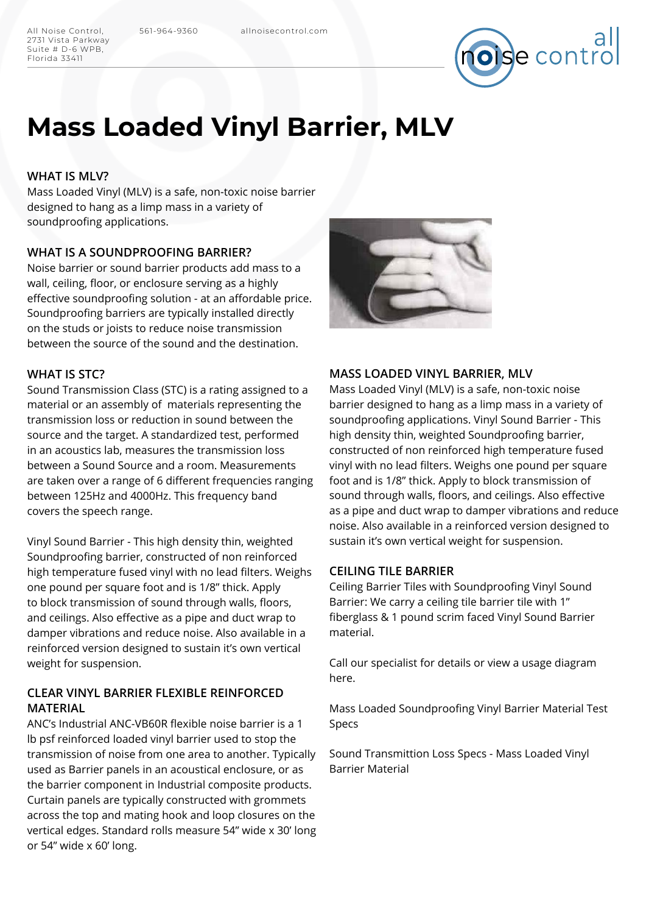All Noise Control, 561-964-9360 allnoisecontrol.com 2731 Vista Parkway Suite # D-6 WPB, Florida 33411



# **Mass Loaded Vinyl Barrier, MLV**

#### **WHAT IS MLV?**

Mass Loaded Vinyl (MLV) is a safe, non-toxic noise barrier designed to hang as a limp mass in a variety of soundproofing applications.

#### **WHAT IS A SOUNDPROOFING BARRIER?**

Noise barrier or sound barrier products add mass to a wall, ceiling, floor, or enclosure serving as a highly effective soundproofing solution - at an affordable price. Soundproofing barriers are typically installed directly on the studs or joists to reduce noise transmission between the source of the sound and the destination.

### **WHAT IS STC?**

Sound Transmission Class (STC) is a rating assigned to a material or an assembly of materials representing the transmission loss or reduction in sound between the source and the target. A standardized test, performed in an acoustics lab, measures the transmission loss between a Sound Source and a room. Measurements are taken over a range of 6 different frequencies ranging between 125Hz and 4000Hz. This frequency band covers the speech range.

Vinyl Sound Barrier - This high density thin, weighted Soundproofing barrier, constructed of non reinforced high temperature fused vinyl with no lead filters. Weighs one pound per square foot and is 1/8" thick. Apply to block transmission of sound through walls, floors, and ceilings. Also effective as a pipe and duct wrap to damper vibrations and reduce noise. Also available in a reinforced version designed to sustain it's own vertical weight for suspension.

## **CLEAR VINYL BARRIER FLEXIBLE REINFORCED MATERIAL**

ANC's Industrial ANC-VB60R flexible noise barrier is a 1 lb psf reinforced loaded vinyl barrier used to stop the transmission of noise from one area to another. Typically used as Barrier panels in an acoustical enclosure, or as the barrier component in Industrial composite products. Curtain panels are typically constructed with grommets across the top and mating hook and loop closures on the vertical edges. Standard rolls measure 54" wide x 30' long or 54" wide x 60' long.



#### **MASS LOADED VINYL BARRIER, MLV**

Mass Loaded Vinyl (MLV) is a safe, non-toxic noise barrier designed to hang as a limp mass in a variety of soundproofing applications. Vinyl Sound Barrier - This high density thin, weighted Soundproofing barrier, constructed of non reinforced high temperature fused vinyl with no lead filters. Weighs one pound per square foot and is 1/8" thick. Apply to block transmission of sound through walls, floors, and ceilings. Also effective as a pipe and duct wrap to damper vibrations and reduce noise. Also available in a reinforced version designed to sustain it's own vertical weight for suspension.

#### **CEILING TILE BARRIER**

Ceiling Barrier Tiles with Soundproofing Vinyl Sound Barrier: We carry a ceiling tile barrier tile with 1" fiberglass & 1 pound scrim faced Vinyl Sound Barrier material.

Call our specialist for details or view a usage diagram here.

Mass Loaded Soundproofing Vinyl Barrier Material Test Specs

Sound Transmittion Loss Specs - Mass Loaded Vinyl Barrier Material